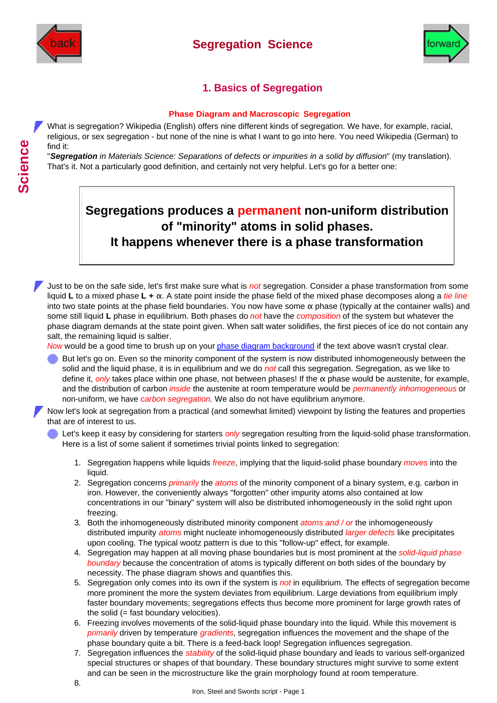

### **Segregation Science**



### **1. Basics of Segregation**

#### **Phase Diagram and Macroscopic Segregation**

What is segregation? Wikipedia (English) offers nine different kinds of segregation. We have, for example, racial, religious, or sex segregation - but none of the nine is what I want to go into here. You need Wikipedia (German) to find it:

"*Segregation in Materials Science: Separations of defects or impurities in a solid by diffusion*" (my translation). That's it. Not a particularly good definition, and certainly not very helpful. Let's go for a better one:

# **Segregations produces a permanent non-uniform distribution of "minority" atoms in solid phases. It happens whenever there is a phase transformation**

Just to be on the safe side, let's first make sure what is *not* segregation. Consider a phase transformation from some liquid **L** to a mixed phase **L + α**. A state point inside the phase field of the mixed phase decomposes along a *tie line* into two state points at the phase field boundaries. You now have some **α** phase (typically at the container walls) and some still liquid **L** phase in equilibrium. Both phases do *not* have the *composition* of the system but whatever the phase diagram demands at the state point given. When salt water solidifies, the first pieces of ice do not contain any salt, the remaining liquid is saltier.

*Now* would be a good time to brush up on your [phase diagram background](http://www.tf.uni-kiel.de/matwis/amat/iss_dec_15_2021/kap_6/backbone/r6_1_3.html) if the text above wasn't crystal clear.

But let's go on. Even so the minority component of the system is now distributed inhomogeneously between the solid and the liquid phase, it is in equilibrium and we do *not* call this segregation. Segregation, as we like to define it, *only* takes place within one phase, not between phases! If the **α** phase would be austenite, for example, and the distribution of carbon *inside* the austenite at room temperature would be *permanently inhomogeneous* or non-uniform, we have *carbon segregation*. We also do not have equlibrium anymore.

Now let's look at segregation from a practical (and somewhat limited) viewpoint by listing the features and properties that are of interest to us.

Let's keep it easy by considering for starters *only* segregation resulting from the liquid-solid phase transformation. Here is a list of some salient if sometimes trivial points linked to segregation:

- 1. Segregation happens while liquids *freeze*, implying that the liquid-solid phase boundary *moves* into the liquid.
- 2. Segregation concerns *primarily* the atoms of the minority component of a binary system, e.g. carbon in iron. However, the conveniently always "forgotten" other impurity atoms also contained at low concentrations in our "binary" system will also be distributed inhomogeneously in the solid right upon freezing.
- 3. Both the inhomogeneously distributed minority component *atoms and / or* the inhomogeneously distributed impurity *atoms* might nucleate inhomogeneously distributed *larger defects* like precipitates upon cooling. The typical wootz pattern is due to this "follow-up" effect, for example.
- 4. Segregation may happen at all moving phase boundaries but is most prominent at the *solid-liquid phase boundary* because the concentration of atoms is typically different on both sides of the boundary by necessity. The phase diagram shows and quantifies this.
- 5. Segregation only comes into its own if the system is *not* in equilibrium. The effects of segregation become more prominent the more the system deviates from equilibrium. Large deviations from equilibrium imply faster boundary movements; segregations effects thus become more prominent for large growth rates of the solid (= fast boundary velocities).
- 6. Freezing involves movements of the solid-liquid phase boundary into the liquid. While this movement is *primarily* driven by temperature *gradients*, segregation influences the movement and the shape of the phase boundary quite a bit. There is a feed-back loop! Segregation influences segregation.
- 7. Segregation influences the *stability* of the solid-liquid phase boundary and leads to various self-organized special structures or shapes of that boundary. These boundary structures might survive to some extent and can be seen in the microstructure like the grain morphology found at room temperature.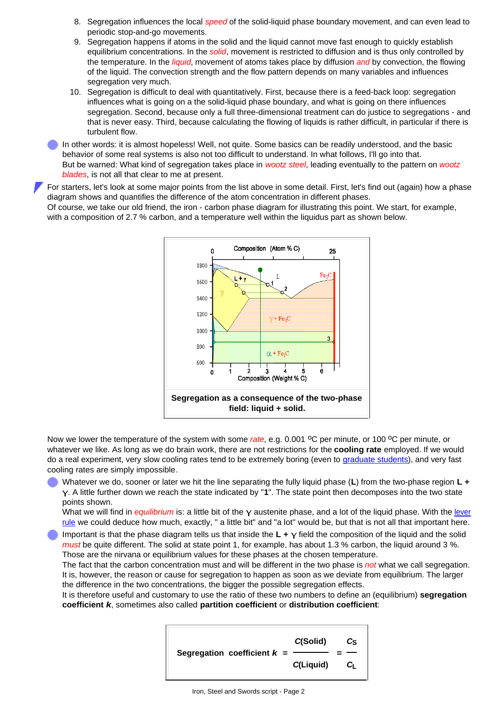- 8. Segregation influences the local *speed* of the solid-liquid phase boundary movement, and can even lead to periodic stop-and-go movements.
- 9. Segregation happens if atoms in the solid and the liquid cannot move fast enough to quickly establish equilibrium concentrations. In the *solid*, movement is restricted to diffusion and is thus only controlled by the temperature. In the *liquid*, movement of atoms takes place by diffusion *and* by convection, the flowing of the liquid. The convection strength and the flow pattern depends on many variables and influences segregation very much.
- 10. Segregation is difficult to deal with quantitatively. First, because there is a feed-back loop: segregation influences what is going on a the solid-liquid phase boundary, and what is going on there influences segregation. Second, because only a full three-dimensional treatment can do justice to segregations - and that is never easy. Third, because calculating the flowing of liquids is rather difficult, in particular if there is turbulent flow.

In other words: it is almost hopeless! Well, not quite. Some basics can be readily understood, and the basic behavior of some real systems is also not too difficult to understand. In what follows, I'll go into that. But be warned: What kind of segregation takes place in *wootz steel*, leading eventually to the pattern on *wootz blades*, is not all that clear to me at present.

For starters, let's look at some major points from the list above in some detail. First, let's find out (again) how a phase diagram shows and quantifies the difference of the atom concentration in different phases. Of course, we take our old friend, the iron - carbon phase diagram for illustrating this point. We start, for example, with a composition of 2.7 % carbon, and a temperature well within the liquidus part as shown below.



Now we lower the temperature of the system with some *rate*, e.g. 0.001 <sup>o</sup>C per minute, or 100 <sup>o</sup>C per minute, or whatever we like. As long as we do brain work, there are not restrictions for the **cooling rate** employed. If we would do a real experiment, very slow cooling rates tend to be extremely boring (even to [graduate students](http://www.tf.uni-kiel.de/matwis/amat/iss_dec_15_2021/kap_8/backbone/r8_2_3.html#graduate students)), and very fast cooling rates are simply impossible.

Whatever we do, sooner or later we hit the line separating the fully liquid phase (**L**) from the two-phase region **L + γ**. A little further down we reach the state indicated by "**1**". The state point then decomposes into the two state points shown.

What we will find in *equilibrium* is: a little bit of the γ austenite phase, and a lot of the liquid phase. With the [lever](http://www.tf.uni-kiel.de/matwis/amat/iss_dec_15_2021/kap_7/backbone/r7_2_2.html#lever rule) [rule](http://www.tf.uni-kiel.de/matwis/amat/iss_dec_15_2021/kap_7/backbone/r7_2_2.html#lever rule) we could deduce how much, exactly, " a little bit" and "a lot" would be, but that is not all that important here.

Important is that the phase diagram tells us that inside the **L + γ** field the composition of the liquid and the solid *must* be quite different. The solid at state point 1, for example, has about 1.3 % carbon, the liquid around 3 %. Those are the nirvana or equilibrium values for these phases at the chosen temperature.

The fact that the carbon concentration must and will be different in the two phase is *not* what we call segregation. It is, however, the reason or cause for segregation to happen as soon as we deviate from equilibrium. The larger the difference in the two concentrations, the bigger the possible segregation effects.

<span id="page-1-0"></span>It is therefore useful and customary to use the ratio of these two numbers to define an (equilibrium) **segregation coefficient** *k*, sometimes also called **partition coefficient** or **distribution coefficient**:

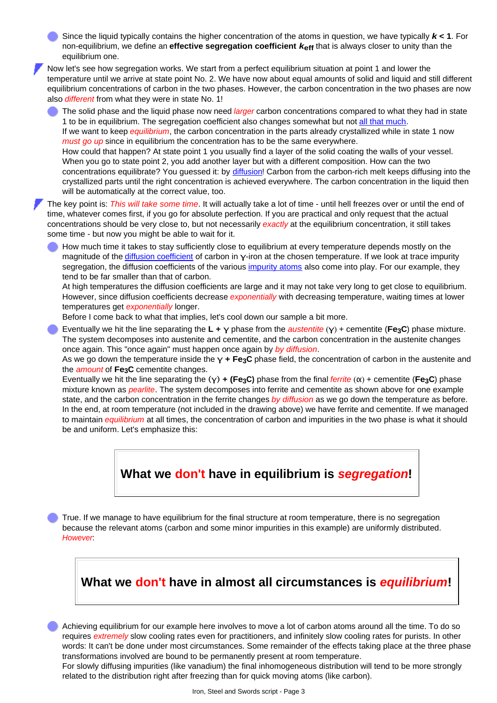Since the liquid typically contains the higher concentration of the atoms in question, we have typically *k* **< 1**. For non-equilibrium, we define an **effective segregation coefficient** *k***eff** that is always closer to unity than the equilibrium one.

Now let's see how segregation works. We start from a perfect equilibrium situation at point 1 and lower the temperature until we arrive at state point No. 2. We have now about equal amounts of solid and liquid and still different equilibrium concentrations of carbon in the two phases. However, the carbon concentration in the two phases are now also *different* from what they were in state No. 1!

The solid phase and the liquid phase now need *larger* carbon concentrations compared to what they had in state 1 to be in equilibrium. The segregation coefficient also changes somewhat but not [all that much](http://www.tf.uni-kiel.de/matwis/amat/iss_dec_15_2021/kap_6/illustr/s6_2_1d.html#_11). If we want to keep *equilibrium*, the carbon concentration in the parts already crystallized while in state 1 now *must go up* since in equilibrium the concentration has to be the same everywhere. How could that happen? At state point 1 you usually find a layer of the solid coating the walls of your vessel. When you go to state point 2, you add another layer but with a different composition. How can the two concentrations equilibrate? You guessed it: by [diffusion!](http://www.tf.uni-kiel.de/matwis/amat/iss_dec_15_2021/kap_4/backbone/r4_4_2.html#diffusion) Carbon from the carbon-rich melt keeps diffusing into the crystallized parts until the right concentration is achieved everywhere. The carbon concentration in the liquid then will be automatically at the correct value, too.

The key point is: *This will take some time*. It will actually take a lot of time - until hell freezes over or until the end of time, whatever comes first, if you go for absolute perfection. If you are practical and only request that the actual concentrations should be very close to, but not necessarily *exactly* at the equilibrium concentration, it still takes some time - but now you might be able to wait for it.

How much time it takes to stay sufficiently close to equilibrium at every temperature depends mostly on the magnitude of the [diffusion coefficient](http://www.tf.uni-kiel.de/matwis/amat/iss_dec_15_2021/kap_5/illustr/s5_2_3b.html#diffusion coefficient) of carbon in **γ**-iron at the chosen temperature. If we look at trace impurity segregation, the diffusion coefficients of the various [impurity atoms](http://www.tf.uni-kiel.de/matwis/amat/iss_dec_15_2021/kap_5/illustr/s5_2_3.html) also come into play. For our example, they tend to be far smaller than that of carbon.

At high temperatures the diffusion coefficients are large and it may not take very long to get close to equilibrium. However, since diffusion coefficients decrease *exponentially* with decreasing temperature, waiting times at lower temperatures get *exponentially* longer.

Before I come back to what that implies, let's cool down our sample a bit more.

Eventually we hit the line separating the **L + γ** phase from the *austentite* (**γ**) + cementite (**Fe3C**) phase mixture. The system decomposes into austenite and cementite, and the carbon concentration in the austenite changes once again. This "once again" must happen once again by *by diffusion*.

As we go down the temperature inside the **γ + Fe3C** phase field, the concentration of carbon in the austenite and the *amount* of **Fe3C** cementite changes.

Eventually we hit the line separating the **(γ) + (Fe3C)** phase from the final *ferrite* (**α**) + cementite (**Fe3C**) phase mixture known as *pearlite*. The system decomposes into ferrite and cementite as shown above for one example state, and the carbon concentration in the ferrite changes *by diffusion* as we go down the temperature as before. In the end, at room temperature (not included in the drawing above) we have ferrite and cementite. If we managed to maintain *equilibrium* at all times, the concentration of carbon and impurities in the two phase is what it should be and uniform. Let's emphasize this:

**What we don't have in equilibrium is** *segregation***!**

True. If we manage to have equilibrium for the final structure at room temperature, there is no segregation because the relevant atoms (carbon and some minor impurities in this example) are uniformly distributed. *However*:

## **What we don't have in almost all circumstances is** *equilibrium***!**

Achieving equilibrium for our example here involves to move a lot of carbon atoms around all the time. To do so requires *extremely* slow cooling rates even for practitioners, and infinitely slow cooling rates for purists. In other words: It can't be done under most circumstances. Some remainder of the effects taking place at the three phase transformations involved are bound to be permanently present at room temperature.

For slowly diffusing impurities (like vanadium) the final inhomogeneous distribution will tend to be more strongly related to the distribution right after freezing than for quick moving atoms (like carbon).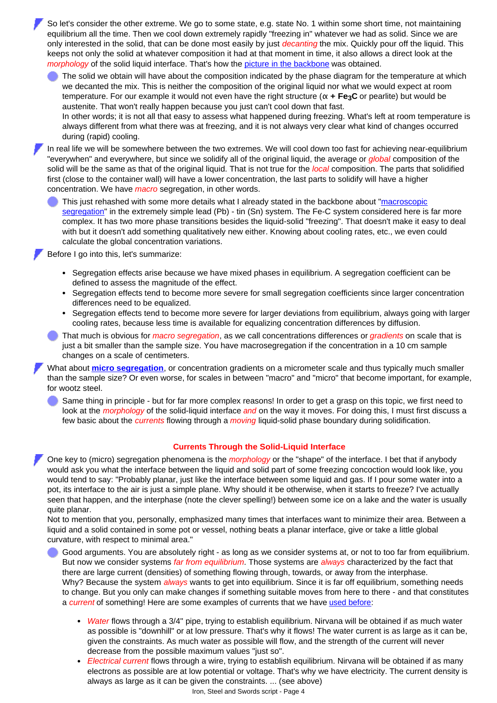So let's consider the other extreme. We go to some state, e.g. state No. 1 within some short time, not maintaining equilibrium all the time. Then we cool down extremely rapidly "freezing in" whatever we had as solid. Since we are only interested in the solid, that can be done most easily by just *decanting* the mix. Quickly pour off the liquid. This keeps not only the solid at whatever composition it had at that moment in time, it also allows a direct look at the *morphology* of the solid liquid interface. That's how the [picture in the backbone](http://www.tf.uni-kiel.de/matwis/amat/iss_dec_15_2021/kap_6/backbone/r6_2_2.html#_5) was obtained.

The solid we obtain will have about the composition indicated by the phase diagram for the temperature at which we decanted the mix. This is neither the composition of the original liquid nor what we would expect at room temperature. For our example it would not even have the right structure (**α + Fe3C** or pearlite) but would be austenite. That won't really happen because you just can't cool down that fast. In other words; it is not all that easy to assess what happened during freezing. What's left at room temperature is always different from what there was at freezing, and it is not always very clear what kind of changes occurred

during (rapid) cooling. In real life we will be somewhere between the two extremes. We will cool down too fast for achieving near-equilibrium

"everywhen" and everywhere, but since we solidify all of the original liquid, the average or *global* composition of the solid will be the same as that of the original liquid. That is not true for the *local* composition. The parts that solidified first (close to the container wall) will have a lower concentration, the last parts to solidify will have a higher concentration. We have *macro* segregation, in other words.

This just rehashed with some more details what I already stated in the backbone about ["macroscopic](http://www.tf.uni-kiel.de/matwis/amat/iss_dec_15_2021/kap_6/backbone/r6_2_2.html#_7) [segregation"](http://www.tf.uni-kiel.de/matwis/amat/iss_dec_15_2021/kap_6/backbone/r6_2_2.html#_7) in the extremely simple lead (Pb) - tin (Sn) system. The Fe-C system considered here is far more complex. It has two more phase transitions besides the liquid-solid "freezing". That doesn't make it easy to deal with but it doesn't add something qualitatively new either. Knowing about cooling rates, etc., we even could calculate the global concentration variations.

Before I go into this, let's summarize:

- Segregation effects arise because we have mixed phases in equilibrium. A segregation coefficient can be defined to assess the magnitude of the effect.
- Segregation effects tend to become more severe for small segregation coefficients since larger concentration differences need to be equalized.
- Segregation effects tend to become more severe for larger deviations from equilibrium, always going with larger cooling rates, because less time is available for equalizing concentration differences by diffusion.

That much is obvious for *macro segregation*, as we call concentrations differences or *gradients* on scale that is just a bit smaller than the sample size. You have macrosegregation if the concentration in a 10 cm sample changes on a scale of centimeters.

What about **[micro segregation](http://www.tf.uni-kiel.de/matwis/amat/iss_dec_15_2021/kap_6/backbone/r6_2_2.html#micro segregation)**, or concentration gradients on a micrometer scale and thus typically much smaller than the sample size? Or even worse, for scales in between "macro" and "micro" that become important, for example, for wootz steel.

Same thing in principle - but for far more complex reasons! In order to get a grasp on this topic, we first need to look at the *morphology* of the solid-liquid interface *and* on the way it moves. For doing this, I must first discuss a few basic about the *currents* flowing through a *moving* liquid-solid phase boundary during solidification.

#### **Currents Through the Solid-Liquid Interface**

One key to (micro) segregation phenomena is the *morphology* or the "shape" of the interface. I bet that if anybody would ask you what the interface between the liquid and solid part of some freezing concoction would look like, you would tend to say: "Probably planar, just like the interface between some liquid and gas. If I pour some water into a pot, its interface to the air is just a simple plane. Why should it be otherwise, when it starts to freeze? I've actually seen that happen, and the interphase (note the clever spelling!) between some ice on a lake and the water is usually quite planar.

Not to mention that you, personally, emphasized many times that interfaces want to minimize their area. Between a liquid and a solid contained in some pot or vessel, nothing beats a planar interface, give or take a little global curvature, with respect to minimal area."

Good arguments. You are absolutely right - as long as we consider systems at, or not to too far from equilibrium. But now we consider systems *far from equilibrium*. Those systems are *always* characterized by the fact that there are large current (densities) of something flowing through, towards, or away from the interphase. Why? Because the system *always* wants to get into equilibrium. Since it is far off equilibrium, something needs to change. But you only can make changes if something suitable moves from here to there - and that constitutes a *current* of something! Here are some examples of currents that we have [used before:](http://www.tf.uni-kiel.de/matwis/amat/iss_dec_15_2021/kap_5/illustr/s5_2_3b.html#currents; examples for)

- *Water* flows through a 3/4'' pipe, trying to establish equilibrium. Nirvana will be obtained if as much water as possible is "downhill" or at low pressure. That's why it flows! The water current is as large as it can be, given the constraints. As much water as possible will flow, and the strength of the current will never decrease from the possible maximum values "just so".
- *Electrical current* flows through a wire, trying to establish equilibrium. Nirvana will be obtained if as many electrons as possible are at low potential or voltage. That's why we have electricity. The current density is always as large as it can be given the constraints. ... (see above)

Iron, Steel and Swords script - Page 4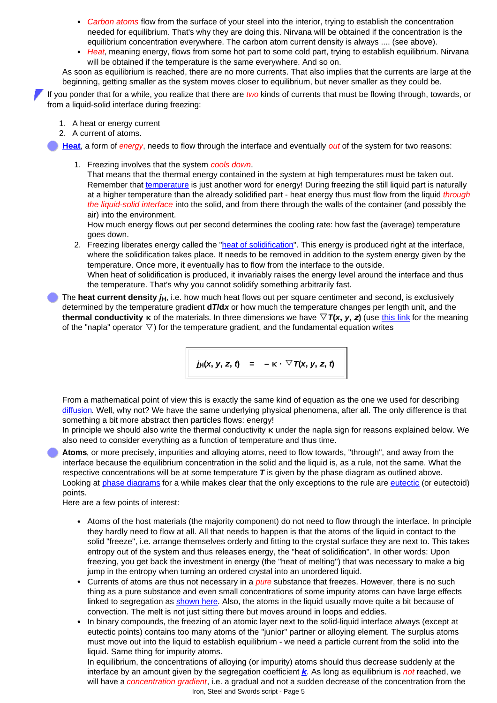- *Carbon atoms* flow from the surface of your steel into the interior, trying to establish the concentration needed for equilibrium. That's why they are doing this. Nirvana will be obtained if the concentration is the equilibrium concentration everywhere. The carbon atom current density is always .... (see above).
- Heat, meaning energy, flows from some hot part to some cold part, trying to establish equilibrium. Nirvana will be obtained if the temperature is the same everywhere. And so on.

As soon as equilibrium is reached, there are no more currents. That also implies that the currents are large at the beginning, getting smaller as the system moves closer to equilibrium, but never smaller as they could be.

If you ponder that for a while, you realize that there are *two* kinds of currents that must be flowing through, towards, or from a liquid-solid interface during freezing:

- 1. A heat or energy current
- 2. A current of atoms.

**[Heat](http://www.tf.uni-kiel.de/matwis/amat/iss_dec_15_2021/kap_4/backbone/r4_3_1.html#heat and energy)**, a form of *energy*, needs to flow through the interface and eventually *out* of the system for two reasons:

1. Freezing involves that the system *cools down*.

That means that the thermal energy contained in the system at high temperatures must be taken out. Remember that [temperature](http://www.tf.uni-kiel.de/matwis/amat/iss_dec_15_2021/kap_4/backbone/r4_4_1.html#temperature; what is) is just another word for energy! During freezing the still liquid part is naturally at a higher temperature than the already solidified part - heat energy thus must flow from the liquid *through the liquid-solid interface* into the solid, and from there through the walls of the container (and possibly the air) into the environment.

How much energy flows out per second determines the cooling rate: how fast the (average) temperature goes down.

2. Freezing liberates energy called the "[heat of solidification](http://www.tf.uni-kiel.de/matwis/amat/iss_dec_15_2021/kap_6/backbone/r6_2_2.html#heat of solidification)". This energy is produced right at the interface, where the solidification takes place. It needs to be removed in addition to the system energy given by the temperature. Once more, it eventually has to flow from the interface to the outside. When heat of solidification is produced, it invariably raises the energy level around the interface and thus the temperature. That's why you cannot solidify something arbitrarily fast.

The **heat current density**  $j_H$ , i.e. how much heat flows out per square centimeter and second, is exclusively determined by the temperature gradient **d***T***/d***x* or how much the temperature changes per length unit, and the **thermal conductivity**  $\kappa$  of the materials. In three dimensions we have  $\nabla T(x, y, z)$  (use [this link](http://www.tf.uni-kiel.de/matwis/amat/iss_dec_15_2021/kap_5/illustr/s5_2_3b.html#napla operator) for the meaning of the "napla" operator  $\triangledown$ ) for the temperature gradient, and the fundamental equation writes

$$
\int_{\mathcal{H}} |f(x, y, z, t)| = -K \cdot \nabla T(x, y, z, t)
$$

From a mathematical point of view this is exactly the same kind of equation as the one we used for describing [diffusion.](http://www.tf.uni-kiel.de/matwis/amat/iss_dec_15_2021/kap_5/illustr/s5_2_3b.html) Well, why not? We have the same underlying physical phenomena, after all. The only difference is that something a bit more abstract then particles flows: energy!

In principle we should also write the thermal conductivity **κ** under the napla sign for reasons explained below. We also need to consider everything as a function of temperature and thus time.

**Atoms**, or more precisely, impurities and alloying atoms, need to flow towards, "through", and away from the interface because the equilibrium concentration in the solid and the liquid is, as a rule, not the same. What the respective concentrations will be at some temperature *T* is given by the phase diagram as outlined above. Looking at [phase diagrams](http://www.tf.uni-kiel.de/matwis/amat/iss_dec_15_2021/kap_6/illustr/i6_2_1.html) for a while makes clear that the only exceptions to the rule are [eutectic](http://www.tf.uni-kiel.de/matwis/amat/iss_dec_15_2021/kap_6/backbone/r6_2_2.html) (or eutectoid) points.

Here are a few points of interest:

- Atoms of the host materials (the majority component) do not need to flow through the interface. In principle they hardly need to flow at all. All that needs to happen is that the atoms of the liquid in contact to the solid "freeze", i.e. arrange themselves orderly and fitting to the crystal surface they are next to. This takes entropy out of the system and thus releases energy, the "heat of solidification". In other words: Upon freezing, you get back the investment in energy (the "heat of melting") that was necessary to make a big jump in the entropy when turning an ordered crystal into an unordered liquid.
- Currents of atoms are thus not necessary in a *pure* substance that freezes. However, there is no such thing as a pure substance and even small concentrations of some impurity atoms can have large effects linked to segregation as [shown here.](http://www.tf.uni-kiel.de/matwis/amat/iss_dec_15_2021/kap_6/illustr/s6_2_2.html) Also, the atoms in the liquid usually move quite a bit because of convection. The melt is not just sitting there but moves around in loops and eddies.
- In binary compounds, the freezing of an atomic layer next to the solid-liquid interface always (except at eutectic points) contains too many atoms of the "junior" partner or alloying element. The surplus atoms must move out into the liquid to establish equilibrium - we need a particle current from the solid into the liquid. Same thing for impurity atoms.

In equilibrium, the concentrations of alloying (or impurity) atoms should thus decrease suddenly at the interface by an amount given by the segregation coefficient *[k](#page-1-0)*. As long as equilibrium is *not* reached, we will have a *concentration gradient*, i.e. a gradual and not a sudden decrease of the concentration from the Iron, Steel and Swords script - Page 5